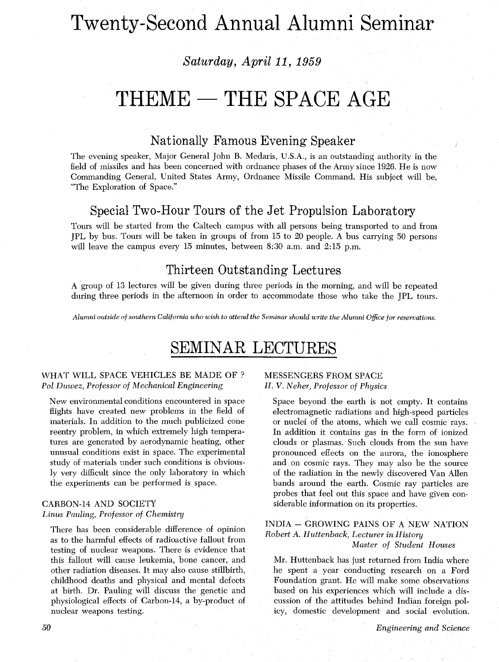# Twenty-Second Annual Alumni Seminar

## *Saturday, April* 11, 1959

## $THEME - THE SPACEAGE$

## Nationally Famous Evening Speaker

The evening speaker, Major General John B. Medaris, U.S.A., is an outstanding authority in the field of missiles and has been concerned with ordnance phases of the Army since 1926. He is now Commanding General, United States Army, Ordnance Missile Command. His subject will be, "The Exploration of Space."

## Special Two-Hour Tours of the Jet Propulsion Laboratory

Tours will be started from the Caltech campus with all persons being transported to and from JPL by bus. Tours will be taken in groups of from 15 to 20 people. A bus carrying 50 persons will leave the campus every 15 minutes, between **8:30** a.m. and 2:15 p.m.

## Thirteen Outstanding Lectures

A group of 13 lectures will be given during three periods in the morning, and will be repeated during three periods in the afternoon in order to accommodate those who take the JPL tours.

*Alumni outside of southern California who wish to attend the Seminar should write the Alumni Office for reservations.* 

## SEMINAR LECTURES

#### WHAT WILL SPACE VEHICLES BE MADE OF ? *Pol Duwez, Professor of Mechanical Engineering*

New environmental conditions encountered in space flights have created new problems in the field of materials. In addition to the much publicized cone reentry problem, in which extremely high temperatures are generated by aerodynamic heating, other unusual conditions exist in space. The experimental study of materials under such conditions is obviously very difficult since the only laboratory in which the experiments can be performed is space.

#### CARBON-14 AND SOCIETY *Linus Patding, Professor of Chemistry*

There has been considerable difference of opinion as to the harmful effects of radioactive fallout from testing of nuclear weapons. There is evidence that this fallout will cause leukemia, bone cancer, and other radiation diseases. It may also cause stillbirth, childhood deaths and physical and mental defects at birth. Dr. Pauling will discuss the genetic and physiological effects of Carbon-14, a by-product of nuclear weapons testing.

### MESSENGERS FROM SPACE H. V. *Neher, Professor of Physics*

Space beyond the earth is not empty. It contains electromagnetic radiations and high-speed particles or nuclei of the atoms, which we call cosmic rays. In addition it contains gas in the form of ionized clouds or plasmas. Such clouds from the sun have pronounced effects on the aurora, the ionosphere and on cosmic rays. They may also be the source of the radiation in the newly discovered Van Allen bands around the earth. Cosmic ray particles are probes that feel out this space and have given considerable information on its properties.

#### INDIA - GROWING PAINS OF A NEW NATION *Robert* A. *Huttenback, Lecturer in History Master of Student Houses*

Mr. Huttenback has just returned from India where he spent a year conducting research on a Ford Foundation grant. He will make some observations based on his experiences which will include a discussion of the attitudes behind Indian foreign policy, domestic development and social evolution.